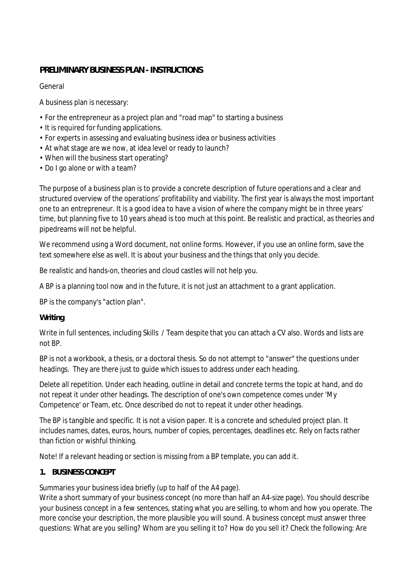# **PRELIMINARY BUSINESS PLAN - INSTRUCTIONS**

General

A business plan is necessary:

- For the entrepreneur as a project plan and "road map" to starting a business
- It is required for funding applications.
- For experts in assessing and evaluating business idea or business activities
- At what stage are we now, at idea level or ready to launch?
- When will the business start operating?
- Do I go alone or with a team?

The purpose of a business plan is to provide a concrete description of future operations and a clear and structured overview of the operations' profitability and viability. The first year is always the most important one to an entrepreneur. It is a good idea to have a vision of where the company might be in three years' time, but planning five to 10 years ahead is too much at this point. Be realistic and practical, as theories and pipedreams will not be helpful.

We recommend using a Word document, not online forms. However, if you use an online form, save the text somewhere else as well. It is about your business and the things that only you decide.

Be realistic and hands-on, theories and cloud castles will not help you.

A BP is a planning tool now and in the future, it is not just an attachment to a grant application.

BP is the company's "action plan".

**Writing**

Write in full sentences, including Skills / Team despite that you can attach a CV also. Words and lists are not BP.

BP is not a workbook, a thesis, or a doctoral thesis. So do not attempt to "answer" the questions under headings. They are there just to guide which issues to address under each heading.

Delete all repetition. Under each heading, outline in detail and concrete terms the topic at hand, and do not repeat it under other headings. The description of one's own competence comes under 'My Competence' or Team, etc. Once described do not to repeat it under other headings.

The BP is tangible and specific. It is not a vision paper. It is a concrete and scheduled project plan. It includes names, dates, euros, hours, number of copies, percentages, deadlines etc. Rely on facts rather than fiction or wishful thinking.

Note! If a relevant heading or section is missing from a BP template, you can add it.

## **1. BUSINESS CONCEPT**

Summaries your business idea briefly (up to half of the A4 page).

Write a short summary of your business concept (no more than half an A4-size page). You should describe your business concept in a few sentences, stating what you are selling, to whom and how you operate. The more concise your description, the more plausible you will sound. A business concept must answer three questions: What are you selling? Whom are you selling it to? How do you sell it? Check the following: Are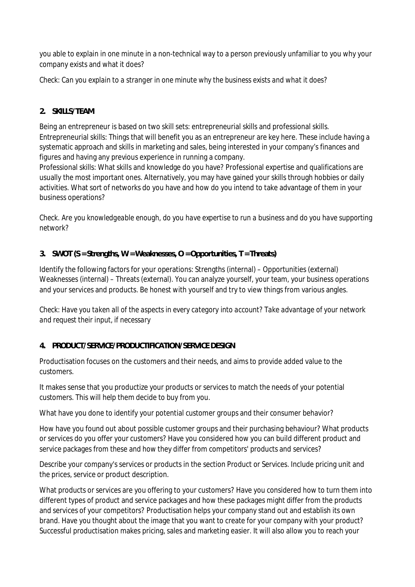you able to explain in one minute in a non-technical way to a person previously unfamiliar to you why your company exists and what it does?

*Check: Can you explain to a stranger in one minute why the business exists and what it does?*

# **2. SKILLS/TEAM**

Being an entrepreneur is based on two skill sets: entrepreneurial skills and professional skills. Entrepreneurial skills: Things that will benefit you as an entrepreneur are key here. These include having a systematic approach and skills in marketing and sales, being interested in your company's finances and figures and having any previous experience in running a company.

Professional skills: What skills and knowledge do you have? Professional expertise and qualifications are usually the most important ones. Alternatively, you may have gained your skills through hobbies or daily activities. What sort of networks do you have and how do you intend to take advantage of them in your business operations?

*Check. Are you knowledgeable enough, do you have expertise to run a business and do you have supporting network?*

## **3. SWOT (S = Strengths, W = Weaknesses, O = Opportunities, T = Threats)**

Identify the following factors for your operations: Strengths (internal) – Opportunities (external) Weaknesses (internal) – Threats (external). You can analyze yourself, your team, your business operations and your services and products. Be honest with yourself and try to view things from various angles.

*Check: Have you taken all of the aspects in every category into account? Take advantage of your network and request their input, if necessary*

## **4. PRODUCT/SERVICE/PRODUCTIFICATION/SERVICE DESIGN**

Productisation focuses on the customers and their needs, and aims to provide added value to the customers.

It makes sense that you productize your products or services to match the needs of your potential customers. This will help them decide to buy from you.

What have you done to identify your potential customer groups and their consumer behavior?

How have you found out about possible customer groups and their purchasing behaviour? What products or services do you offer your customers? Have you considered how you can build different product and service packages from these and how they differ from competitors' products and services?

Describe your company's services or products in the section Product or Services. Include pricing unit and the prices, service or product description.

What products or services are you offering to your customers? Have you considered how to turn them into different types of product and service packages and how these packages might differ from the products and services of your competitors? Productisation helps your company stand out and establish its own brand. Have you thought about the image that you want to create for your company with your product? Successful productisation makes pricing, sales and marketing easier. It will also allow you to reach your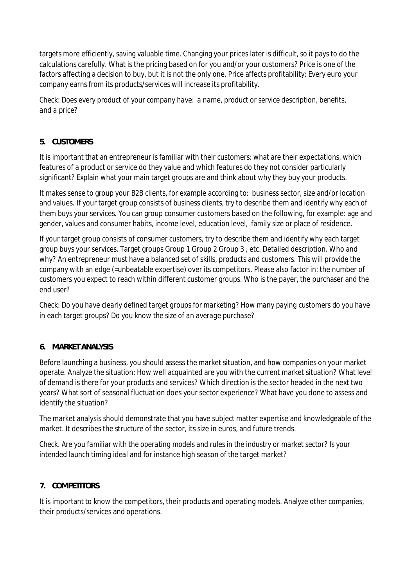targets more efficiently, saving valuable time. Changing your prices later is difficult, so it pays to do the calculations carefully. What is the pricing based on for you and/or your customers? Price is one of the factors affecting a decision to buy, but it is not the only one. Price affects profitability: Every euro your company earns from its products/services will increase its profitability.

*Check: Does every product of your company have: a name, product or service description, benefits, and a price?*

## **5. CUSTOMERS**

It is important that an entrepreneur is familiar with their customers: what are their expectations, which features of a product or service do they value and which features do they not consider particularly significant? Explain what your main target groups are and think about why they buy your products.

It makes sense to group your B2B clients, for example according to: business sector, size and/or location and values. If your target group consists of business clients, try to describe them and identify why each of them buys your services. You can group consumer customers based on the following, for example: age and gender, values and consumer habits, income level, education level, family size or place of residence.

If your target group consists of consumer customers, try to describe them and identify why each target group buys your services. Target groups Group 1 Group 2 Group 3 , etc. Detailed description. Who and why? An entrepreneur must have a balanced set of skills, products and customers. This will provide the company with an edge (=unbeatable expertise) over its competitors. Please also factor in: the number of customers you expect to reach within different customer groups. Who is the payer, the purchaser and the end user?

*Check: Do you have clearly defined target groups for marketing? How many paying customers do you have in each target groups? Do you know the size of an average purchase?*

## **6. MARKET ANALYSIS**

Before launching a business, you should assess the market situation, and how companies on your market operate. Analyze the situation: How well acquainted are you with the current market situation? What level of demand is there for your products and services? Which direction is the sector headed in the next two years? What sort of seasonal fluctuation does your sector experience? What have you done to assess and identify the situation?

The market analysis should demonstrate that you have subject matter expertise and knowledgeable of the market. It describes the structure of the sector, its size in euros, and future trends.

*Check. Are you familiar with the operating models and rules in the industry or market sector? Is your intended launch timing ideal and for instance high season of the target market?*

#### **7. COMPETITORS**

It is important to know the competitors, their products and operating models. Analyze other companies, their products/services and operations.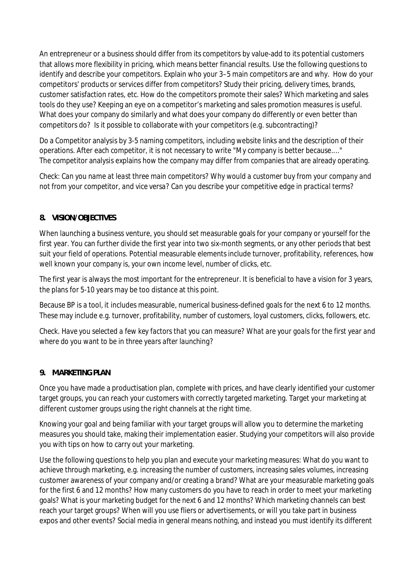An entrepreneur or a business should differ from its competitors by value-add to its potential customers that allows more flexibility in pricing, which means better financial results. Use the following questions to identify and describe your competitors. Explain who your 3–5 main competitors are and why. How do your competitors' products or services differ from competitors? Study their pricing, delivery times, brands, customer satisfaction rates, etc. How do the competitors promote their sales? Which marketing and sales tools do they use? Keeping an eye on a competitor's marketing and sales promotion measures is useful. What does your company do similarly and what does your company do differently or even better than competitors do? Is it possible to collaborate with your competitors (e.g. subcontracting)?

Do a Competitor analysis by 3-5 naming competitors, including website links and the description of their operations. After each competitor, it is not necessary to write "My company is better because...." The competitor analysis explains how the company may differ from companies that are already operating.

*Check: Can you name at least three main competitors? Why would a customer buy from your company and not from your competitor, and vice versa? Can you describe your competitive edge in practical terms?*

## **8. VISION/OBJECTIVES**

When launching a business venture, you should set measurable goals for your company or yourself for the first year. You can further divide the first year into two six-month segments, or any other periods that best suit your field of operations. Potential measurable elements include turnover, profitability, references, how well known your company is, your own income level, number of clicks, etc.

The first year is always the most important for the entrepreneur. It is beneficial to have a vision for 3 years, the plans for 5-10 years may be too distance at this point.

Because BP is a tool, it includes measurable, numerical business-defined goals for the next 6 to 12 months. These may include e.g. turnover, profitability, number of customers, loyal customers, clicks, followers, etc.

*Check. Have you selected a few key factors that you can measure? What are your goals for the first year and where do you want to be in three years after launching?*

## **9. MARKETING PLAN**

Once you have made a productisation plan, complete with prices, and have clearly identified your customer target groups, you can reach your customers with correctly targeted marketing. Target your marketing at different customer groups using the right channels at the right time.

Knowing your goal and being familiar with your target groups will allow you to determine the marketing measures you should take, making their implementation easier. Studying your competitors will also provide you with tips on how to carry out your marketing.

Use the following questions to help you plan and execute your marketing measures: What do you want to achieve through marketing, e.g. increasing the number of customers, increasing sales volumes, increasing customer awareness of your company and/or creating a brand? What are your measurable marketing goals for the first 6 and 12 months? How many customers do you have to reach in order to meet your marketing goals? What is your marketing budget for the next 6 and 12 months? Which marketing channels can best reach your target groups? When will you use fliers or advertisements, or will you take part in business expos and other events? Social media in general means nothing, and instead you must identify its different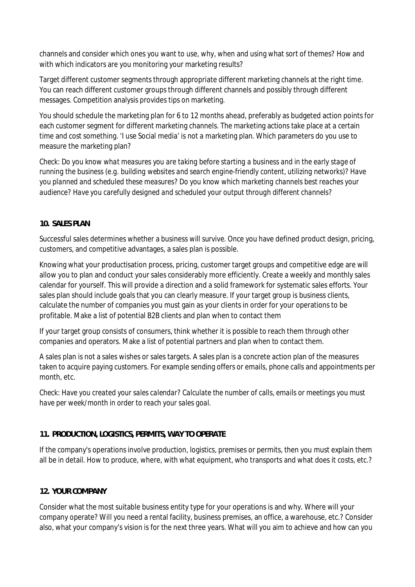channels and consider which ones you want to use, why, when and using what sort of themes? How and with which indicators are you monitoring your marketing results?

Target different customer segments through appropriate different marketing channels at the right time. You can reach different customer groups through different channels and possibly through different messages. Competition analysis provides tips on marketing.

You should schedule the marketing plan for 6 to 12 months ahead, preferably as budgeted action points for each customer segment for different marketing channels. The marketing actions take place at a certain time and cost something. 'I use Social media' is not a marketing plan. Which parameters do you use to measure the marketing plan?

*Check: Do you know what measures you are taking before starting a business and in the early stage of running the business (e.g. building websites and search engine-friendly content, utilizing networks)? Have you planned and scheduled these measures? Do you know which marketing channels best reaches your audience? Have you carefully designed and scheduled your output through different channels?*

#### **10. SALES PLAN**

Successful sales determines whether a business will survive. Once you have defined product design, pricing, customers, and competitive advantages, a sales plan is possible.

Knowing what your productisation process, pricing, customer target groups and competitive edge are will allow you to plan and conduct your sales considerably more efficiently. Create a weekly and monthly sales calendar for yourself. This will provide a direction and a solid framework for systematic sales efforts. Your sales plan should include goals that you can clearly measure. If your target group is business clients, calculate the number of companies you must gain as your clients in order for your operations to be profitable. Make a list of potential B2B clients and plan when to contact them

If your target group consists of consumers, think whether it is possible to reach them through other companies and operators. Make a list of potential partners and plan when to contact them.

A sales plan is not a sales wishes or sales targets. A sales plan is a concrete action plan of the measures taken to acquire paying customers. For example sending offers or emails, phone calls and appointments per month, etc.

*Check: Have you created your sales calendar? Calculate the number of calls, emails or meetings you must have per week/month in order to reach your sales goal.*

## **11. PRODUCTION, LOGISTICS, PERMITS, WAY TO OPERATE**

If the company's operations involve production, logistics, premises or permits, then you must explain them all be in detail. How to produce, where, with what equipment, who transports and what does it costs, etc.?

## **12. YOUR COMPANY**

Consider what the most suitable business entity type for your operations is and why. Where will your company operate? Will you need a rental facility, business premises, an office, a warehouse, etc.? Consider also, what your company's vision is for the next three years. What will you aim to achieve and how can you